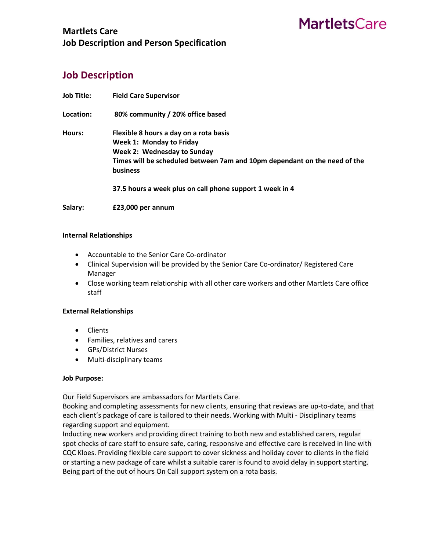## **MartletsCare**

### **Martlets Care Job Description and Person Specification**

### **Job Description**

| <b>Job Title:</b> | <b>Field Care Supervisor</b>                                              |
|-------------------|---------------------------------------------------------------------------|
| Location:         | 80% community / 20% office based                                          |
| Hours:            | Flexible 8 hours a day on a rota basis                                    |
|                   | Week 1: Monday to Friday                                                  |
|                   | <b>Week 2: Wednesday to Sunday</b>                                        |
|                   | Times will be scheduled between 7am and 10pm dependant on the need of the |
|                   | <b>business</b>                                                           |
|                   | 37.5 hours a week plus on call phone support 1 week in 4                  |
| Salary:           | £23,000 per annum                                                         |

#### **Internal Relationships**

- Accountable to the Senior Care Co-ordinator
- Clinical Supervision will be provided by the Senior Care Co-ordinator/ Registered Care Manager
- Close working team relationship with all other care workers and other Martlets Care office staff

#### **External Relationships**

- Clients
- Families, relatives and carers
- GPs/District Nurses
- Multi-disciplinary teams

#### **Job Purpose:**

Our Field Supervisors are ambassadors for Martlets Care.

Booking and completing assessments for new clients, ensuring that reviews are up-to-date, and that each client's package of care is tailored to their needs. Working with Multi - Disciplinary teams regarding support and equipment.

Inducting new workers and providing direct training to both new and established carers, regular spot checks of care staff to ensure safe, caring, responsive and effective care is received in line with CQC Kloes. Providing flexible care support to cover sickness and holiday cover to clients in the field or starting a new package of care whilst a suitable carer is found to avoid delay in support starting. Being part of the out of hours On Call support system on a rota basis.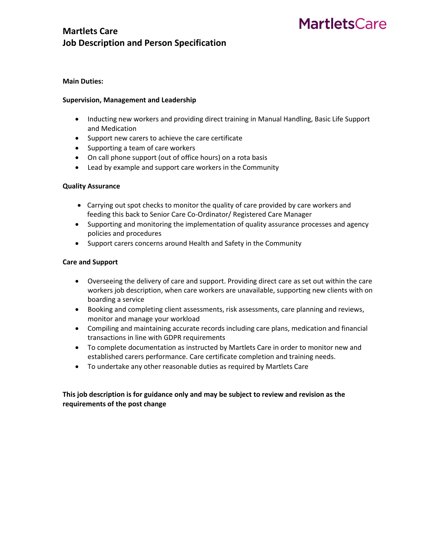# **MartletsCare**

### **Martlets Care Job Description and Person Specification**

#### **Main Duties:**

#### **Supervision, Management and Leadership**

- Inducting new workers and providing direct training in Manual Handling, Basic Life Support and Medication
- Support new carers to achieve the care certificate
- Supporting a team of care workers
- On call phone support (out of office hours) on a rota basis
- Lead by example and support care workers in the Community

#### **Quality Assurance**

- Carrying out spot checks to monitor the quality of care provided by care workers and feeding this back to Senior Care Co-Ordinator/ Registered Care Manager
- Supporting and monitoring the implementation of quality assurance processes and agency policies and procedures
- Support carers concerns around Health and Safety in the Community

#### **Care and Support**

- Overseeing the delivery of care and support. Providing direct care as set out within the care workers job description, when care workers are unavailable, supporting new clients with on boarding a service
- Booking and completing client assessments, risk assessments, care planning and reviews, monitor and manage your workload
- Compiling and maintaining accurate records including care plans, medication and financial transactions in line with GDPR requirements
- To complete documentation as instructed by Martlets Care in order to monitor new and established carers performance. Care certificate completion and training needs.
- To undertake any other reasonable duties as required by Martlets Care

#### **This job description is for guidance only and may be subject to review and revision as the requirements of the post change**